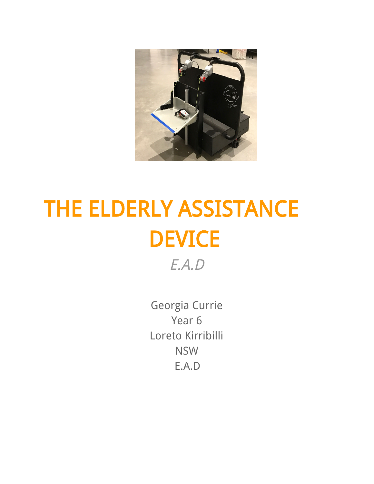

# THE ELDERLY ASSISTANCE **DEVICE**

E.A.D

Georgia Currie Year 6 Loreto Kirribilli NSW E.A.D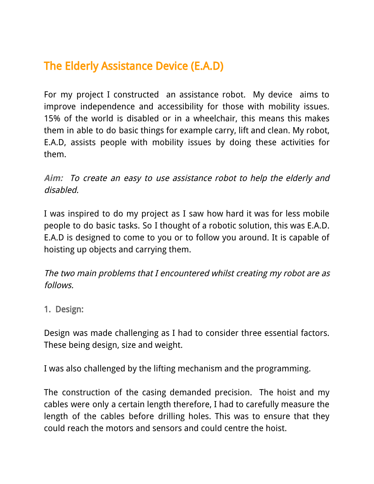# The Elderly Assistance Device (E.A.D)

For my project I constructed an assistance robot. My device aims to improve independence and accessibility for those with mobility issues. 15% of the world is disabled or in a wheelchair, this means this makes them in able to do basic things for example carry, lift and clean. My robot, E.A.D, assists people with mobility issues by doing these activities for them.

**Aim:** To create an easy to use assistance robot to help the elderly and disabled.

I was inspired to do my project as I saw how hard it was for less mobile people to do basic tasks. So I thought of a robotic solution, this was E.A.D. E.A.D is designed to come to you or to follow you around. It is capable of hoisting up objects and carrying them.

The two main problems that I encountered whilst creating my robot are as follows.

1. Design:

Design was made challenging as I had to consider three essential factors. These being design, size and weight.

I was also challenged by the lifting mechanism and the programming.

The construction of the casing demanded precision. The hoist and my cables were only a certain length therefore, I had to carefully measure the length of the cables before drilling holes. This was to ensure that they could reach the motors and sensors and could centre the hoist.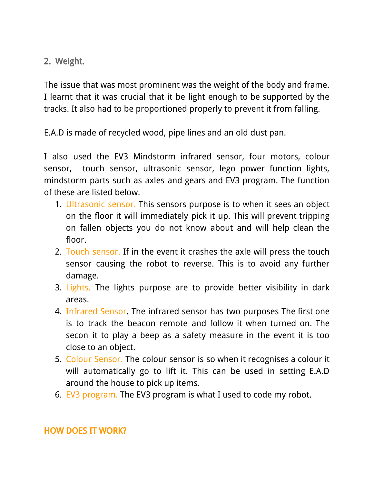2. Weight.

The issue that was most prominent was the weight of the body and frame. I learnt that it was crucial that it be light enough to be supported by the tracks. It also had to be proportioned properly to prevent it from falling.

E.A.D is made of recycled wood, pipe lines and an old dust pan.

I also used the EV3 Mindstorm infrared sensor, four motors, colour sensor, touch sensor, ultrasonic sensor, lego power function lights, mindstorm parts such as axles and gears and EV3 program. The function of these are listed below.

- 1. Ultrasonic sensor. This sensors purpose is to when it sees an object on the floor it will immediately pick it up. This will prevent tripping on fallen objects you do not know about and will help clean the floor.
- 2. Touch sensor. If in the event it crashes the axle will press the touch sensor causing the robot to reverse. This is to avoid any further damage.
- 3. Lights. The lights purpose are to provide better visibility in dark areas.
- 4. Infrared Sensor. The infrared sensor has two purposes The first one is to track the beacon remote and follow it when turned on. The secon it to play a beep as a safety measure in the event it is too close to an object.
- 5. Colour Sensor. The colour sensor is so when it recognises a colour it will automatically go to lift it. This can be used in setting E.A.D around the house to pick up items.
- 6. EV3 program. The EV3 program is what I used to code my robot.

#### HOW DOES IT WORK?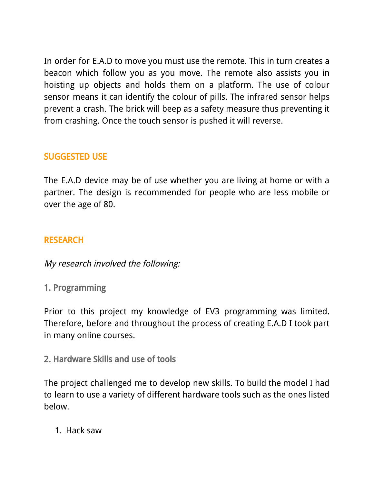In order for E.A.D to move you must use the remote. This in turn creates a beacon which follow you as you move. The remote also assists you in hoisting up objects and holds them on a platform. The use of colour sensor means it can identify the colour of pills. The infrared sensor helps prevent a crash. The brick will beep as a safety measure thus preventing it from crashing. Once the touch sensor is pushed it will reverse.

#### SUGGESTED USE

The E.A.D device may be of use whether you are living at home or with a partner. The design is recommended for people who are less mobile or over the age of 80.

#### RESEARCH

My research involved the following:

1. Programming

Prior to this project my knowledge of EV3 programming was limited. Therefore, before and throughout the process of creating E.A.D I took part in many online courses.

2. Hardware Skills and use of tools

The project challenged me to develop new skills. To build the model I had to learn to use a variety of different hardware tools such as the ones listed below.

1. Hack saw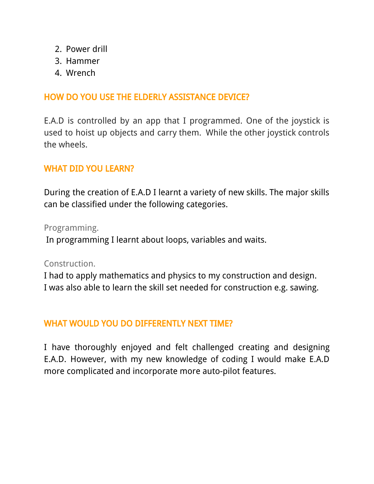- 2. Power drill
- 3. Hammer
- 4. Wrench

#### HOW DO YOU USE THE ELDERLY ASSISTANCE DEVICE?

E.A.D is controlled by an app that I programmed. One of the joystick is used to hoist up objects and carry them. While the other joystick controls the wheels.

#### WHAT DID YOU LEARN?

During the creation of E.A.D I learnt a variety of new skills. The major skills can be classified under the following categories.

Programming.

In programming I learnt about loops, variables and waits.

Construction.

I had to apply mathematics and physics to my construction and design. I was also able to learn the skill set needed for construction e.g. sawing.

#### WHAT WOULD YOU DO DIFFERENTLY NEXT TIME?

I have thoroughly enjoyed and felt challenged creating and designing E.A.D. However, with my new knowledge of coding I would make E.A.D more complicated and incorporate more auto-pilot features.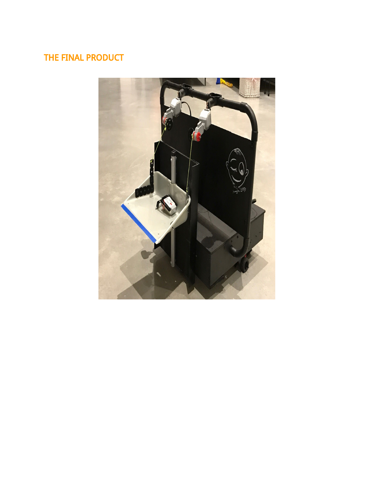## THE FINAL PRODUCT